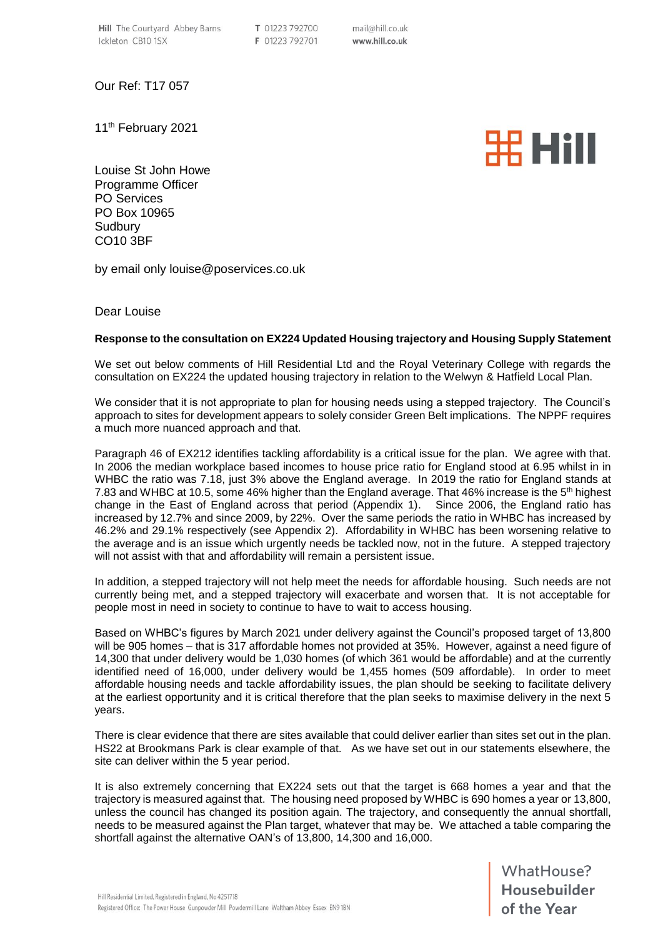Our Ref: T17 057

11<sup>th</sup> February 2021

**HH HAII** 

Louise St John Howe Programme Officer PO Services PO Box 10965 **Sudbury** CO10 3BF

by email only louise@poservices.co.uk

## Dear Louise

## **Response to the consultation on EX224 Updated Housing trajectory and Housing Supply Statement**

We set out below comments of Hill Residential Ltd and the Royal Veterinary College with regards the consultation on EX224 the updated housing trajectory in relation to the Welwyn & Hatfield Local Plan.

We consider that it is not appropriate to plan for housing needs using a stepped trajectory. The Council's approach to sites for development appears to solely consider Green Belt implications. The NPPF requires a much more nuanced approach and that.

Paragraph 46 of EX212 identifies tackling affordability is a critical issue for the plan. We agree with that. In 2006 the median workplace based incomes to house price ratio for England stood at 6.95 whilst in in WHBC the ratio was 7.18, just 3% above the England average. In 2019 the ratio for England stands at 7.83 and WHBC at 10.5, some 46% higher than the England average. That 46% increase is the 5<sup>th</sup> highest change in the East of England across that period (Appendix 1). Since 2006, the England ratio has increased by 12.7% and since 2009, by 22%. Over the same periods the ratio in WHBC has increased by 46.2% and 29.1% respectively (see Appendix 2). Affordability in WHBC has been worsening relative to the average and is an issue which urgently needs be tackled now, not in the future. A stepped trajectory will not assist with that and affordability will remain a persistent issue.

In addition, a stepped trajectory will not help meet the needs for affordable housing. Such needs are not currently being met, and a stepped trajectory will exacerbate and worsen that. It is not acceptable for people most in need in society to continue to have to wait to access housing.

Based on WHBC's figures by March 2021 under delivery against the Council's proposed target of 13,800 will be 905 homes – that is 317 affordable homes not provided at 35%. However, against a need figure of 14,300 that under delivery would be 1,030 homes (of which 361 would be affordable) and at the currently identified need of 16,000, under delivery would be 1,455 homes (509 affordable). In order to meet affordable housing needs and tackle affordability issues, the plan should be seeking to facilitate delivery at the earliest opportunity and it is critical therefore that the plan seeks to maximise delivery in the next 5 years.

There is clear evidence that there are sites available that could deliver earlier than sites set out in the plan. HS22 at Brookmans Park is clear example of that. As we have set out in our statements elsewhere, the site can deliver within the 5 year period.

It is also extremely concerning that EX224 sets out that the target is 668 homes a year and that the trajectory is measured against that. The housing need proposed by WHBC is 690 homes a year or 13,800, unless the council has changed its position again. The trajectory, and consequently the annual shortfall, needs to be measured against the Plan target, whatever that may be. We attached a table comparing the shortfall against the alternative OAN's of 13,800, 14,300 and 16,000.

WhatHouse?<br> **Housebuilder**<br>
of the Year